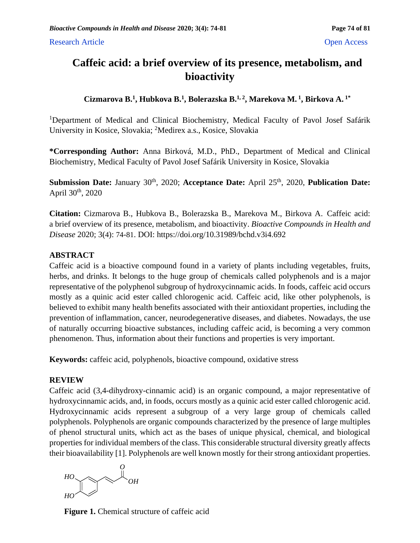# **Caffeic acid: a brief overview of its presence, metabolism, and bioactivity**

# **Cizmarova B.<sup>1</sup> , Hubkova B.<sup>1</sup> , Bolerazska B.1, 2, Marekova M. <sup>1</sup> , Birkova A. 1\***

<sup>1</sup>Department of Medical and Clinical Biochemistry, Medical Faculty of Pavol Josef Safárik University in Kosice, Slovakia; <sup>2</sup>Medirex a.s., Kosice, Slovakia

**\*Corresponding Author:** Anna Birková, M.D., PhD., Department of Medical and Clinical Biochemistry, Medical Faculty of Pavol Josef Safárik University in Kosice, Slovakia

**Submission Date:** January 30<sup>th</sup>, 2020; Acceptance Date: April 25<sup>th</sup>, 2020, Publication Date: April 30<sup>th</sup>, 2020

**Citation:** Cizmarova B., Hubkova B., Bolerazska B., Marekova M., Birkova A. Caffeic acid: a brief overview of its presence, metabolism, and bioactivity. *Bioactive Compounds in Health and Disease* 2020; 3(4): 74-81. DOI: https://doi.org/10.31989/bchd.v3i4.692

# **ABSTRACT**

Caffeic acid is a bioactive compound found in a variety of plants including vegetables, fruits, herbs, and drinks. It belongs to the huge group of chemicals called polyphenols and is a major representative of the polyphenol subgroup of hydroxycinnamic acids. In foods, caffeic acid occurs mostly as a quinic acid ester called chlorogenic acid. Caffeic acid, like other polyphenols, is believed to exhibit many health benefits associated with their antioxidant properties, including the prevention of inflammation, cancer, neurodegenerative diseases, and diabetes. Nowadays, the use of naturally occurring bioactive substances, including caffeic acid, is becoming a very common phenomenon. Thus, information about their functions and properties is very important.

**Keywords:** caffeic acid, polyphenols, bioactive compound, oxidative stress

## **REVIEW**

Caffeic acid (3,4-dihydroxy-cinnamic acid) is an organic compound, a major representative of hydroxycinnamic acids, and, in foods, occurs mostly as a quinic acid ester called chlorogenic acid. Hydroxycinnamic acids represent a subgroup of a very large group of chemicals called polyphenols. Polyphenols are organic compounds characterized by the presence of large multiples of phenol structural units, which act as the bases of unique physical, chemical, and biological properties for individual members of the class. This considerable structural diversity greatly affects their bioavailability [1]. Polyphenols are well known mostly for their strong antioxidant properties.



**Figure 1.** Chemical structure of caffeic acid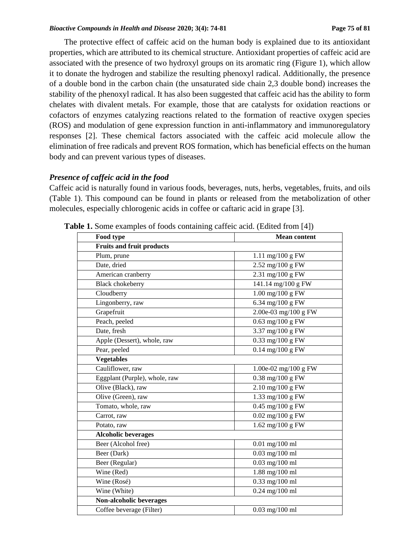The protective effect of caffeic acid on the human body is explained due to its antioxidant properties, which are attributed to its chemical structure. Antioxidant properties of caffeic acid are associated with the presence of two hydroxyl groups on its aromatic ring (Figure 1), which allow it to donate the hydrogen and stabilize the resulting phenoxyl radical. Additionally, the presence of a double bond in the carbon chain (the unsaturated side chain 2,3 double bond) increases the stability of the phenoxyl radical. It has also been suggested that caffeic acid has the ability to form chelates with divalent metals. For example, those that are catalysts for oxidation reactions or cofactors of enzymes catalyzing reactions related to the formation of reactive oxygen species (ROS) and modulation of gene expression function in anti-inflammatory and immunoregulatory responses [2]. These chemical factors associated with the caffeic acid molecule allow the elimination of free radicals and prevent ROS formation, which has beneficial effects on the human body and can prevent various types of diseases.

### *Presence of caffeic acid in the food*

Caffeic acid is naturally found in various foods, beverages, nuts, herbs, vegetables, fruits, and oils (Table 1). This compound can be found in plants or released from the metabolization of other molecules, especially chlorogenic acids in coffee or caftaric acid in grape [3].

| Food type                        | <b>Mean content</b>                           |
|----------------------------------|-----------------------------------------------|
| <b>Fruits and fruit products</b> |                                               |
| Plum, prune                      | 1.11 mg/100 g FW                              |
| Date, dried                      | 2.52 mg/100 g FW                              |
| American cranberry               | $2.31$ mg/100 g FW                            |
| <b>Black</b> chokeberry          | 141.14 mg/100 g FW                            |
| Cloudberry                       | $\overline{1.00 \text{ mg}/100 \text{ g}}$ FW |
| Lingonberry, raw                 | $6.34$ mg/100 g FW                            |
| Grapefruit                       | 2.00e-03 mg/100 g FW                          |
| Peach, peeled                    | $0.63$ mg/100 g FW                            |
| Date, fresh                      | $\overline{3.37}$ mg/100 g FW                 |
| Apple (Dessert), whole, raw      | $0.33$ mg/100 g FW                            |
| Pear, peeled                     | $0.14$ mg/100 g FW                            |
| <b>Vegetables</b>                |                                               |
| Cauliflower, raw                 | 1.00e-02 mg/100 g FW                          |
| Eggplant (Purple), whole, raw    | 0.38 mg/100 g FW                              |
| Olive (Black), raw               | $2.10 \text{ mg}/100 \text{ g}$ FW            |
| Olive (Green), raw               | 1.33 mg/100 g FW                              |
| Tomato, whole, raw               | $0.45$ mg/100 g FW                            |
| Carrot, raw                      | $0.02$ mg/100 g FW                            |
| Potato, raw                      | $\overline{1.62}$ mg/100 g FW                 |
| <b>Alcoholic beverages</b>       |                                               |
| Beer (Alcohol free)              | $0.01$ mg/100 ml                              |
| Beer (Dark)                      | $0.03$ mg/100 ml                              |
| Beer (Regular)                   | $0.03$ mg/100 ml                              |
| Wine (Red)                       | 1.88 mg/100 ml                                |
| Wine (Rosé)                      | $0.33$ mg/100 ml                              |
| Wine (White)                     | $0.24$ mg/100 ml                              |
| Non-alcoholic beverages          |                                               |
| Coffee beverage (Filter)         | $0.03$ mg/100 ml                              |

**Table 1.** Some examples of foods containing caffeic acid. (Edited from [4])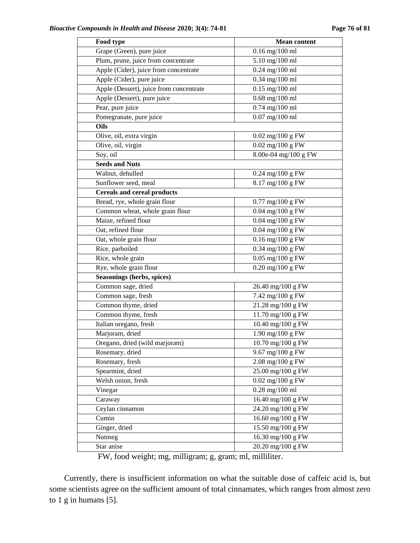| Food type                               | <b>Mean content</b>                       |
|-----------------------------------------|-------------------------------------------|
| Grape (Green), pure juice               | $0.16$ mg/100 ml                          |
| Plum, prune, juice from concentrate     | 5.10 mg/100 ml                            |
| Apple (Cider), juice from concentrate   | $0.24$ mg/100 ml                          |
| Apple (Cider), pure juice               | $0.34$ mg/100 ml                          |
| Apple (Dessert), juice from concentrate | $0.15$ mg/100 ml                          |
| Apple (Dessert), pure juice             | $0.68$ mg/100 ml                          |
| Pear, pure juice                        | $0.74$ mg/100 ml                          |
| Pomegranate, pure juice                 | $0.07$ mg/100 ml                          |
| Oils                                    |                                           |
| Olive, oil, extra virgin                | $0.02$ mg/100 g FW                        |
| Olive, oil, virgin                      | $0.02$ mg/100 g FW                        |
| Soy, oil                                | $8.00e-04$ mg/100 g FW                    |
| <b>Seeds and Nuts</b>                   |                                           |
| Walnut, dehulled                        | $0.24$ mg/100 g FW                        |
| Sunflower seed, meal                    | 8.17 mg/100 g FW                          |
| Cereals and cereal products             |                                           |
| Bread, rye, whole grain flour           | $0.77 \text{ mg}/100 \text{ g} \text{FW}$ |
| Common wheat, whole grain flour         | $0.04$ mg/100 g ${\rm FW}$                |
| Maize, refined flour                    | $0.04$ mg/100 g FW                        |
| Oat, refined flour                      | $0.04$ mg/100 g FW                        |
| Oat, whole grain flour                  | $0.16$ mg/ $100$ g FW                     |
| Rice, parboiled                         | 0.34 mg/100 g FW                          |
| Rice, whole grain                       | $0.05$ mg/100 g FW                        |
| Rye, whole grain flour                  | 0.20 mg/100 g FW                          |
| Seasonings (herbs, spices)              |                                           |
| Common sage, dried                      | 26.40 mg/100 g FW                         |
| Common sage, fresh                      | 7.42 mg/100 g FW                          |
| Common thyme, dried                     | 21.28 mg/100 g FW                         |
| Common thyme, fresh                     | 11.70 mg/100 g FW                         |
| Italian oregano, fresh                  | 10.40 mg/100 g FW                         |
| Marjoram, dried                         | 1.90 mg/100 g FW                          |
| Oregano, dried (wild marjoram)          | 10.70 mg/100 g FW                         |
| Rosemary, dried                         | 9.67 mg/100 g FW                          |
| Rosemary, fresh                         | $2.08 \text{ mg}/100 \text{ g}$ FW        |
| Spearmint, dried                        | 25.00 mg/100 g FW                         |
| Welsh onion, fresh                      | $0.02 \text{ mg}/100 \text{ g} \text{FW}$ |
| Vinegar                                 | $0.28$ mg/100 ml                          |
| Caraway                                 | 16.40 mg/100 g FW                         |
| Ceylan cinnamon                         | 24.20 mg/100 g FW                         |
| Cumin                                   | 16.60 mg/100 g FW                         |
| Ginger, dried                           | 15.50 mg/100 g FW                         |
| Nutmeg                                  | 16.30 mg/100 g FW                         |
| Star anise                              | 20.20 mg/100 g FW                         |

FW, food weight; mg, milligram; g, gram; ml, milliliter.

Currently, there is insufficient information on what the suitable dose of caffeic acid is, but some scientists agree on the sufficient amount of total cinnamates, which ranges from almost zero to 1 g in humans [5].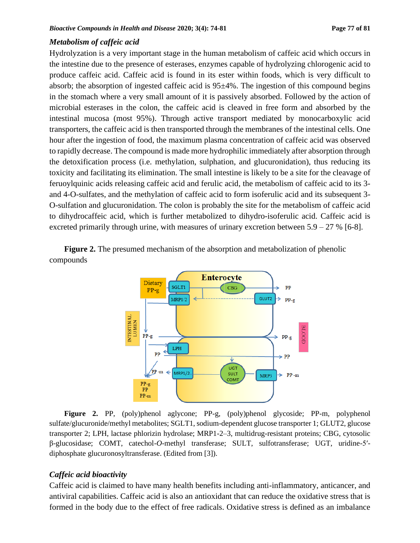#### *Metabolism of caffeic acid*

Hydrolyzation is a very important stage in the human metabolism of caffeic acid which occurs in the intestine due to the presence of esterases, enzymes capable of hydrolyzing chlorogenic acid to produce caffeic acid. Caffeic acid is found in its ester within foods, which is very difficult to absorb; the absorption of ingested caffeic acid is 95±4%. The ingestion of this compound begins in the stomach where a very small amount of it is passively absorbed. Followed by the action of microbial esterases in the colon, the caffeic acid is cleaved in free form and absorbed by the intestinal mucosa (most 95%). Through active transport mediated by monocarboxylic acid transporters, the caffeic acid is then transported through the membranes of the intestinal cells. One hour after the ingestion of food, the maximum plasma concentration of caffeic acid was observed to rapidly decrease. The compound is made more hydrophilic immediately after absorption through the detoxification process (i.e. methylation, sulphation, and glucuronidation), thus reducing its toxicity and facilitating its elimination. The small intestine is likely to be a site for the cleavage of feruoylquinic acids releasing caffeic acid and ferulic acid, the metabolism of caffeic acid to its 3 and 4-O-sulfates, and the methylation of caffeic acid to form isoferulic acid and its subsequent 3- O-sulfation and glucuronidation. The colon is probably the site for the metabolism of caffeic acid to dihydrocaffeic acid, which is further metabolized to dihydro-isoferulic acid. Caffeic acid is excreted primarily through urine, with measures of urinary excretion between  $5.9 - 27$  % [6-8].

**Figure 2.** The presumed mechanism of the absorption and metabolization of phenolic compounds



**Figure 2.** PP, (poly)phenol aglycone; PP-g, (poly)phenol glycoside; PP-m, polyphenol sulfate/glucuronide/methyl metabolites; SGLT1, sodium-dependent glucose transporter 1; GLUT2, glucose transporter 2; LPH, lactase phlorizin hydrolase; MRP1-2–3, multidrug-resistant proteins; CBG, cytosolic β-glucosidase; COMT, catechol-*O*-methyl transferase; SULT, sulfotransferase; UGT, uridine-5′ diphosphate glucuronosyltransferase. (Edited from [3]).

## *Caffeic acid bioactivity*

Caffeic acid is claimed to have many health benefits including anti-inflammatory, anticancer, and antiviral capabilities. Caffeic acid is also an antioxidant that can reduce the oxidative stress that is formed in the body due to the effect of free radicals. Oxidative stress is defined as an imbalance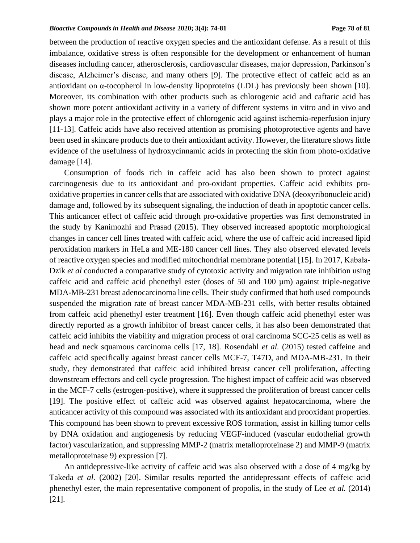#### *Bioactive Compounds in Health and Disease* **2020; 3(4): 74-81 Page 78 of 81**

between the production of reactive oxygen species and the antioxidant defense. As a result of this imbalance, oxidative stress is often responsible for the development or enhancement of human diseases including cancer, atherosclerosis, cardiovascular diseases, major depression, Parkinson's disease, Alzheimer's disease, and many others [9]. The protective effect of caffeic acid as an antioxidant on α-tocopherol in low-density lipoproteins (LDL) has previously been shown [10]. Moreover, its combination with other products such as chlorogenic acid and caftaric acid has shown more potent antioxidant activity in a variety of different systems in vitro and in vivo and plays a major role in the protective effect of chlorogenic acid against ischemia-reperfusion injury [11-13]. Caffeic acids have also received attention as promising photoprotective agents and have been used in skincare products due to their antioxidant activity. However, the literature shows little evidence of the usefulness of hydroxycinnamic acids in protecting the skin from photo-oxidative damage [14].

Consumption of foods rich in caffeic acid has also been shown to protect against carcinogenesis due to its antioxidant and pro-oxidant properties. Caffeic acid exhibits prooxidative propertiesin cancer cells that are associated with oxidative DNA (deoxyribonucleic acid) damage and, followed by its subsequent signaling, the induction of death in apoptotic cancer cells. This anticancer effect of caffeic acid through pro-oxidative properties was first demonstrated in the study by Kanimozhi and Prasad (2015). They observed increased apoptotic morphological changes in cancer cell lines treated with caffeic acid, where the use of caffeic acid increased lipid peroxidation markers in HeLa and ME-180 cancer cell lines. They also observed elevated levels of reactive oxygen species and modified mitochondrial membrane potential [15]. In 2017, Kabała-Dzik *et al* conducted a comparative study of cytotoxic activity and migration rate inhibition using caffeic acid and caffeic acid phenethyl ester (doses of 50 and  $100 \mu m$ ) against triple-negative MDA-MB-231 breast adenocarcinoma line cells. Their study confirmed that both used compounds suspended the migration rate of breast cancer MDA-MB-231 cells, with better results obtained from caffeic acid phenethyl ester treatment [16]. Even though caffeic acid phenethyl ester was directly reported as a growth inhibitor of breast cancer cells, it has also been demonstrated that caffeic acid inhibits the viability and migration process of oral carcinoma SCC-25 cells as well as head and neck squamous carcinoma cells [17, 18]. Rosendahl *et al.* (2015) tested caffeine and caffeic acid specifically against breast cancer cells MCF-7, T47D, and MDA-MB-231. In their study, they demonstrated that caffeic acid inhibited breast cancer cell proliferation, affecting downstream effectors and cell cycle progression. The highest impact of caffeic acid was observed in the MCF-7 cells (estrogen-positive), where it suppressed the proliferation of breast cancer cells [19]. The positive effect of caffeic acid was observed against hepatocarcinoma, where the anticancer activity of this compound was associated with its antioxidant and prooxidant properties. This compound has been shown to prevent excessive ROS formation, assist in killing tumor cells by DNA oxidation and angiogenesis by reducing VEGF-induced (vascular endothelial growth factor) vascularization, and suppressing MMP-2 (matrix metalloproteinase 2) and MMP-9 (matrix metalloproteinase 9) expression [7].

An antidepressive-like activity of caffeic acid was also observed with a dose of 4 mg/kg by Takeda *et al.* (2002) [20]. Similar results reported the antidepressant effects of caffeic acid phenethyl ester, the main representative component of propolis, in the study of Lee *et al.* (2014) [21].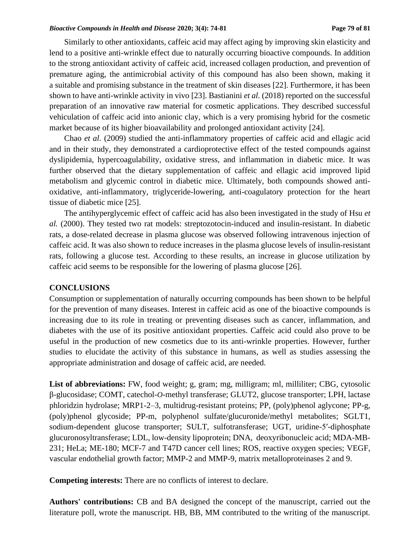#### *Bioactive Compounds in Health and Disease* **2020; 3(4): 74-81 Page 79 of 81**

Similarly to other antioxidants, caffeic acid may affect aging by improving skin elasticity and lend to a positive anti-wrinkle effect due to naturally occurring bioactive compounds. In addition to the strong antioxidant activity of caffeic acid, increased collagen production, and prevention of premature aging, the antimicrobial activity of this compound has also been shown, making it a suitable and promising substance in the treatment of skin diseases [22]. Furthermore, it has been shown to have anti-wrinkle activity in vivo [23]. Bastianini *et al.* (2018) reported on the successful preparation of an innovative raw material for cosmetic applications. They described successful vehiculation of caffeic acid into anionic clay, which is a very promising hybrid for the cosmetic market because of its higher bioavailability and prolonged antioxidant activity [24].

Chao *et al.* (2009) studied the anti-inflammatory properties of caffeic acid and ellagic acid and in their study, they demonstrated a cardioprotective effect of the tested compounds against dyslipidemia, hypercoagulability, oxidative stress, and inflammation in diabetic mice. It was further observed that the dietary supplementation of caffeic and ellagic acid improved lipid metabolism and glycemic control in diabetic mice. Ultimately, both compounds showed antioxidative, anti-inflammatory, triglyceride-lowering, anti-coagulatory protection for the heart tissue of diabetic mice [25].

The antihyperglycemic effect of caffeic acid has also been investigated in the study of Hsu *et al.* (2000). They tested two rat models: streptozotocin-induced and insulin-resistant. In diabetic rats, a dose-related decrease in plasma glucose was observed following intravenous injection of caffeic acid. It was also shown to reduce increases in the plasma glucose levels of insulin-resistant rats, following a glucose test. According to these results, an increase in glucose utilization by caffeic acid seems to be responsible for the lowering of plasma glucose [26].

#### **CONCLUSIONS**

Consumption or supplementation of naturally occurring compounds has been shown to be helpful for the prevention of many diseases. Interest in caffeic acid as one of the bioactive compounds is increasing due to its role in treating or preventing diseases such as cancer, inflammation, and diabetes with the use of its positive antioxidant properties. Caffeic acid could also prove to be useful in the production of new cosmetics due to its anti-wrinkle properties. However, further studies to elucidate the activity of this substance in humans, as well as studies assessing the appropriate administration and dosage of caffeic acid, are needed.

List of abbreviations: FW, food weight; g, gram; mg, milligram; ml, milliliter; CBG, cytosolic β-glucosidase; COMT, catechol-*O*-methyl transferase; GLUT2, glucose transporter; LPH, lactase phloridzin hydrolase; MRP1-2–3, multidrug-resistant proteins; PP, (poly)phenol aglycone; PP-g, (poly)phenol glycoside; PP-m, polyphenol sulfate/glucuronide/methyl metabolites; SGLT1, sodium-dependent glucose transporter; SULT, sulfotransferase; UGT, uridine-5′-diphosphate glucuronosyltransferase; LDL, low-density lipoprotein; DNA, deoxyribonucleic acid; MDA-MB-231; HeLa; ME-180; MCF-7 and T47D cancer cell lines; ROS, reactive oxygen species; VEGF, vascular endothelial growth factor; MMP-2 and MMP-9, matrix metalloproteinases 2 and 9.

**Competing interests:** There are no conflicts of interest to declare.

Authors' contributions: CB and BA designed the concept of the manuscript, carried out the literature poll, wrote the manuscript. HB, BB, MM contributed to the writing of the manuscript.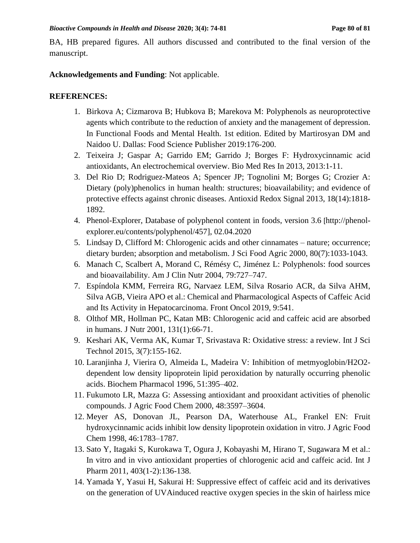BA, HB prepared figures. All authors discussed and contributed to the final version of the manuscript.

**Acknowledgements and Funding**: Not applicable.

# **REFERENCES:**

- 1. Birkova A; Cizmarova B; Hubkova B; Marekova M: Polyphenols as neuroprotective agents which contribute to the reduction of anxiety and the management of depression. In Functional Foods and Mental Health. 1st edition. Edited by Martirosyan DM and Naidoo U. Dallas: Food Science Publisher 2019:176-200.
- 2. Teixeira J; Gaspar A; Garrido EM; Garrido J; Borges F: Hydroxycinnamic acid antioxidants, An electrochemical overview. Bio Med Res In 2013, 2013:1-11.
- 3. [Del Rio D;](http://www.ncbi.nlm.nih.gov/pubmed?term=Del%20Rio%20D%5BAuthor%5D&cauthor=true&cauthor_uid=22794138) [Rodriguez-Mateos A;](http://www.ncbi.nlm.nih.gov/pubmed?term=Rodriguez-Mateos%20A%5BAuthor%5D&cauthor=true&cauthor_uid=22794138) [Spencer JP;](http://www.ncbi.nlm.nih.gov/pubmed?term=Spencer%20JP%5BAuthor%5D&cauthor=true&cauthor_uid=22794138) [Tognolini M;](http://www.ncbi.nlm.nih.gov/pubmed?term=Tognolini%20M%5BAuthor%5D&cauthor=true&cauthor_uid=22794138) [Borges G;](http://www.ncbi.nlm.nih.gov/pubmed?term=Borges%20G%5BAuthor%5D&cauthor=true&cauthor_uid=22794138) [Crozier A:](http://www.ncbi.nlm.nih.gov/pubmed?term=Crozier%20A%5BAuthor%5D&cauthor=true&cauthor_uid=22794138) Dietary (poly)phenolics in human health: structures; bioavailability; and evidence of protective effects against chronic diseases. [Antioxid Redox Signal](http://www.ncbi.nlm.nih.gov/pubmed/22794138) 2013, 18(14):1818- 1892.
- 4. Phenol-Explorer, Database of polyphenol content in foods, version 3.6 [[http://phenol](http://phenol-explorer.eu/contents/polyphenol/457)[explorer.eu/contents/polyphenol/457\]](http://phenol-explorer.eu/contents/polyphenol/457), 02.04.2020
- 5. Lindsay D, Clifford M: Chlorogenic acids and other cinnamates nature; occurrence; dietary burden; absorption and metabolism. J Sci Food Agric 2000, 80(7):1033-1043.
- 6. Manach C, Scalbert A, Morand C, Rémésy C, Jiménez L: Polyphenols: food sources and bioavailability. Am J Clin Nutr 2004, 79:727–747.
- 7. Espíndola KMM, Ferreira RG, Narvaez LEM, Silva Rosario ACR, da Silva AHM, Silva AGB, Vieira APO et al.: Chemical and Pharmacological Aspects of Caffeic Acid and Its Activity in Hepatocarcinoma. Front Oncol 2019, 9:541.
- 8. [Olthof MR,](http://www.ncbi.nlm.nih.gov/pubmed?term=Olthof%20MR%5BAuthor%5D&cauthor=true&cauthor_uid=11208940) [Hollman PC,](http://www.ncbi.nlm.nih.gov/pubmed?term=Hollman%20PC%5BAuthor%5D&cauthor=true&cauthor_uid=11208940) [Katan MB:](http://www.ncbi.nlm.nih.gov/pubmed?term=Katan%20MB%5BAuthor%5D&cauthor=true&cauthor_uid=11208940) Chlorogenic acid and caffeic acid are absorbed in humans. [J Nutr](http://www.ncbi.nlm.nih.gov/pubmed/11208940) 2001, 131(1):66-71.
- 9. [Keshari](https://www.researchgate.net/profile/Anand_Keshari?_sg%5B0%5D=dvTo386HYIYkq7HuUu0Ku9TaZk1t8OQLwsVnXCp2cGDM8zqgbmsA0j92gnLGI9TeVW_j8NI.ntgBI351eKC5a9DaR_9RA728XkZ0b7UNVz-zsPZQo8a_hF0GqlLXAIR-srd5RUnSonyFCz-1I4E6ufKL4XOhOA&_sg%5B1%5D=bH_TWcXIcskQf4epyFeHus1pKzmvxZTHoY3mzcD8xJ9pqitu0hdDpNVH8ivgBmIfu3PTntM.KOnMCvq1AyG9Q6wDVYyhTKe9BMePqS5xVPj0VRWmwzNueaxufvSP4_1kNAbhKpwmNf3DQajDLWHtBquTYo5Sug) AK, [Verma](https://www.researchgate.net/profile/Akhilesh_Kumar_Verma2?_sg%5B0%5D=dvTo386HYIYkq7HuUu0Ku9TaZk1t8OQLwsVnXCp2cGDM8zqgbmsA0j92gnLGI9TeVW_j8NI.ntgBI351eKC5a9DaR_9RA728XkZ0b7UNVz-zsPZQo8a_hF0GqlLXAIR-srd5RUnSonyFCz-1I4E6ufKL4XOhOA&_sg%5B1%5D=bH_TWcXIcskQf4epyFeHus1pKzmvxZTHoY3mzcD8xJ9pqitu0hdDpNVH8ivgBmIfu3PTntM.KOnMCvq1AyG9Q6wDVYyhTKe9BMePqS5xVPj0VRWmwzNueaxufvSP4_1kNAbhKpwmNf3DQajDLWHtBquTYo5Sug) AK, [Kumar](https://www.researchgate.net/profile/Tarun_Kumar142?_sg%5B0%5D=dvTo386HYIYkq7HuUu0Ku9TaZk1t8OQLwsVnXCp2cGDM8zqgbmsA0j92gnLGI9TeVW_j8NI.ntgBI351eKC5a9DaR_9RA728XkZ0b7UNVz-zsPZQo8a_hF0GqlLXAIR-srd5RUnSonyFCz-1I4E6ufKL4XOhOA&_sg%5B1%5D=bH_TWcXIcskQf4epyFeHus1pKzmvxZTHoY3mzcD8xJ9pqitu0hdDpNVH8ivgBmIfu3PTntM.KOnMCvq1AyG9Q6wDVYyhTKe9BMePqS5xVPj0VRWmwzNueaxufvSP4_1kNAbhKpwmNf3DQajDLWHtBquTYo5Sug) T, [Srivastava](https://www.researchgate.net/profile/Ragini_Srivastava5?_sg%5B0%5D=dvTo386HYIYkq7HuUu0Ku9TaZk1t8OQLwsVnXCp2cGDM8zqgbmsA0j92gnLGI9TeVW_j8NI.ntgBI351eKC5a9DaR_9RA728XkZ0b7UNVz-zsPZQo8a_hF0GqlLXAIR-srd5RUnSonyFCz-1I4E6ufKL4XOhOA&_sg%5B1%5D=bH_TWcXIcskQf4epyFeHus1pKzmvxZTHoY3mzcD8xJ9pqitu0hdDpNVH8ivgBmIfu3PTntM.KOnMCvq1AyG9Q6wDVYyhTKe9BMePqS5xVPj0VRWmwzNueaxufvSP4_1kNAbhKpwmNf3DQajDLWHtBquTYo5Sug) R: Oxidative stress: a review. Int J Sci Technol 2015, 3(7):155-162.
- 10. Laranjinha J, Vierira O, Almeida L, Madeira V: Inhibition of metmyoglobin/H2O2 dependent low density lipoprotein lipid peroxidation by naturally occurring phenolic acids. Biochem Pharmacol 1996, 51:395–402.
- 11. Fukumoto LR, Mazza G: Assessing antioxidant and prooxidant activities of phenolic compounds. J Agric Food Chem 2000, 48:3597–3604.
- 12. Meyer AS, Donovan JL, Pearson DA, Waterhouse AL, Frankel EN: Fruit hydroxycinnamic acids inhibit low density lipoprotein oxidation in vitro. J Agric Food Chem 1998, 46:1783–1787.
- 13. [Sato Y,](http://www.ncbi.nlm.nih.gov/pubmed?term=Sato%20Y%5BAuthor%5D&cauthor=true&cauthor_uid=20933071) [Itagaki S,](http://www.ncbi.nlm.nih.gov/pubmed?term=Itagaki%20S%5BAuthor%5D&cauthor=true&cauthor_uid=20933071) [Kurokawa T,](http://www.ncbi.nlm.nih.gov/pubmed?term=Kurokawa%20T%5BAuthor%5D&cauthor=true&cauthor_uid=20933071) [Ogura J,](http://www.ncbi.nlm.nih.gov/pubmed?term=Ogura%20J%5BAuthor%5D&cauthor=true&cauthor_uid=20933071) [Kobayashi M,](http://www.ncbi.nlm.nih.gov/pubmed?term=Kobayashi%20M%5BAuthor%5D&cauthor=true&cauthor_uid=20933071) [Hirano T,](http://www.ncbi.nlm.nih.gov/pubmed?term=Hirano%20T%5BAuthor%5D&cauthor=true&cauthor_uid=20933071) [Sugawara M](http://www.ncbi.nlm.nih.gov/pubmed?term=Sugawara%20M%5BAuthor%5D&cauthor=true&cauthor_uid=20933071) et al.: In vitro and in vivo antioxidant properties of chlorogenic acid and caffeic acid. [Int J](http://www.ncbi.nlm.nih.gov/pubmed/20933071)  [Pharm](http://www.ncbi.nlm.nih.gov/pubmed/20933071) 2011, 403(1-2):136-138.
- 14. Yamada Y, Yasui H, Sakurai H: Suppressive effect of caffeic acid and its derivatives on the generation of UVAinduced reactive oxygen species in the skin of hairless mice